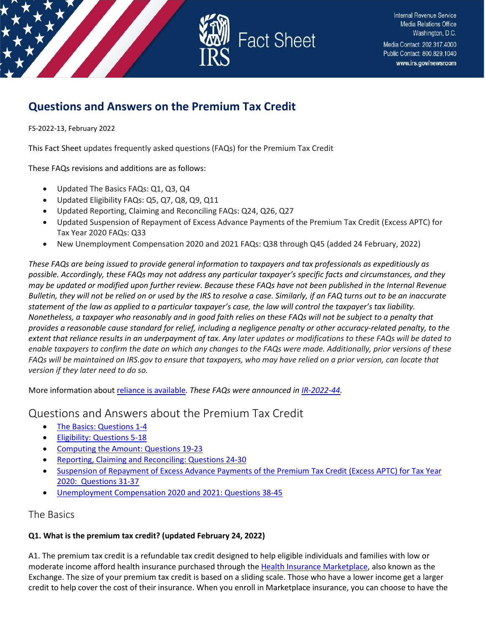

# **Questions and Answers on the Premium Tax Credit**

FS-2022-13, February 2022

This Fact Sheet updates frequently asked questions (FAQs) for the Premium Tax Credit

These FAQs revisions and additions are as follows:

- Updated The Basics FAQs: Q1, Q3, Q4
- Updated Eligibility FAQs: Q5, Q7, Q8, Q9, Q11
- Updated Reporting, Claiming and Reconciling FAQs: Q24, Q26, Q27
- Updated Suspension of Repayment of Excess Advance Payments of the Premium Tax Credit (Excess APTC) for Tax Year 2020 FAQs: Q33
- New Unemployment Compensation 2020 and 2021 FAQs: Q38 through Q45 (added 24 February, 2022)

*These FAQs are being issued to provide general information to taxpayers and tax professionals as expeditiously as possible. Accordingly, these FAQs may not address any particular taxpayer's specific facts and circumstances, and they may be updated or modified upon further review. Because these FAQs have not been published in the Internal Revenue Bulletin, they will not be relied on or used by the IRS to resolve a case. Similarly, if an FAQ turns out to be an inaccurate statement of the law as applied to a particular taxpayer's case, the law will control the taxpayer's tax liability. Nonetheless, a taxpayer who reasonably and in good faith relies on these FAQs will not be subject to a penalty that provides a reasonable cause standard for relief, including a negligence penalty or other accuracy-related penalty, to the extent that reliance results in an underpayment of tax. Any later updates or modifications to these FAQs will be dated to enable taxpayers to confirm the date on which any changes to the FAQs were made. Additionally, prior versions of these FAQs will be maintained on IRS.gov to ensure that taxpayers, who may have relied on a prior version, can locate that version if they later need to do so.*

More information abou[t reliance is available](https://www.irs.gov/newsroom/general-overview-of-taxpayer-reliance-on-guidance-published-in-the-internal-revenue-bulletin-and-faqs)*. These FAQs were announced i[n IR-2022-44.](https://www.irs.gov/newsroom/irs-updates-faqs-for-the-premium-tax-credit)*

## Questions and Answers about the Premium Tax Credit

- [The Basics: Questions 1-4](#page-0-0)
- [Eligibility: Questions 5-18](#page-2-0)
- [Computing the Amount: Questions 19-23](#page-7-0)
- [Reporting, Claiming and Reconciling: Questions 24-30](#page-8-0)
- [Suspension of Repayment of Excess Advance Payments of the Premium Tax Credit \(Excess APTC\) for Tax Year](#page-9-0)  [2020: Questions 31-37](#page-9-0)
- [Unemployment Compensation 2020 and 2021: Questions 38-45](#page-11-0)

## <span id="page-0-0"></span>The Basics

## **Q1. What is the premium tax credit? (updated February 24, 2022)**

A1. The premium tax credit is a refundable tax credit designed to help eligible individuals and families with low or moderate income afford health insurance purchased through th[e Health Insurance Marketplace,](https://www.healthcare.gov/) also known as the Exchange. The size of your premium tax credit is based on a sliding scale. Those who have a lower income get a larger credit to help cover the cost of their insurance. When you enroll in Marketplace insurance, you can choose to have the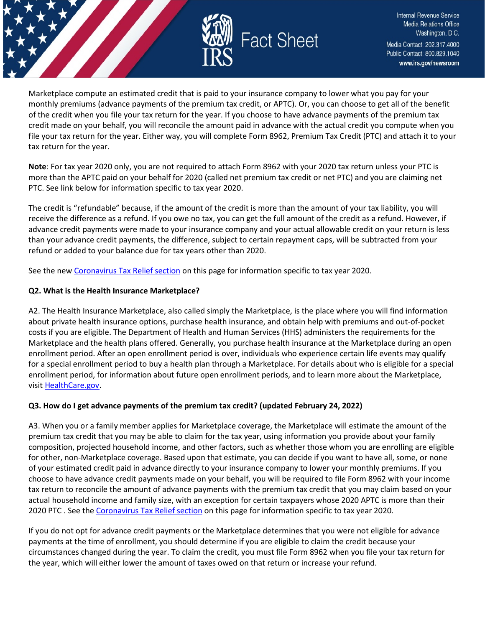

Marketplace compute an estimated credit that is paid to your insurance company to lower what you pay for your monthly premiums (advance payments of the premium tax credit, or APTC). Or, you can choose to get all of the benefit of the credit when you file your tax return for the year. If you choose to have advance payments of the premium tax credit made on your behalf, you will reconcile the amount paid in advance with the actual credit you compute when you file your tax return for the year. Either way, you will complete Form 8962, Premium Tax Credit (PTC) and attach it to your tax return for the year.

**Note**: For tax year 2020 only, you are not required to attach Form 8962 with your 2020 tax return unless your PTC is more than the APTC paid on your behalf for 2020 (called net premium tax credit or net PTC) and you are claiming net PTC. See link below for information specific to tax year 2020.

The credit is "refundable" because, if the amount of the credit is more than the amount of your tax liability, you will receive the difference as a refund. If you owe no tax, you can get the full amount of the credit as a refund. However, if advance credit payments were made to your insurance company and your actual allowable credit on your return is less than your advance credit payments, the difference, subject to certain repayment caps, will be subtracted from your refund or added to your balance due for tax years other than 2020.

See the ne[w Coronavirus Tax Relief section](https://www.irs.gov/affordable-care-act/individuals-and-families/questions-and-answers-on-the-premium-tax-credit#suspension) on this page for information specific to tax year 2020.

#### **Q2. What is the Health Insurance Marketplace?**

A2. The Health Insurance Marketplace, also called simply the Marketplace, is the place where you will find information about private health insurance options, purchase health insurance, and obtain help with premiums and out-of-pocket costs if you are eligible. The Department of Health and Human Services (HHS) administers the requirements for the Marketplace and the health plans offered. Generally, you purchase health insurance at the Marketplace during an open enrollment period. After an open enrollment period is over, individuals who experience certain life events may qualify for a special enrollment period to buy a health plan through a Marketplace. For details about who is eligible for a special enrollment period, for information about future open enrollment periods, and to learn more about the Marketplace, visi[t HealthCare.gov.](https://www.healthcare.gov/)

### **Q3. How do I get advance payments of the premium tax credit? (updated February 24, 2022)**

A3. When you or a family member applies for Marketplace coverage, the Marketplace will estimate the amount of the premium tax credit that you may be able to claim for the tax year, using information you provide about your family composition, projected household income, and other factors, such as whether those whom you are enrolling are eligible for other, non-Marketplace coverage. Based upon that estimate, you can decide if you want to have all, some, or none of your estimated credit paid in advance directly to your insurance company to lower your monthly premiums. If you choose to have advance credit payments made on your behalf, you will be required to file Form 8962 with your income tax return to reconcile the amount of advance payments with the premium tax credit that you may claim based on your actual household income and family size, with an exception for certain taxpayers whose 2020 APTC is more than their 2020 PTC . See th[e Coronavirus Tax Relief section](https://www.irs.gov/affordable-care-act/individuals-and-families/questions-and-answers-on-the-premium-tax-credit#suspension) on this page for information specific to tax year 2020.

If you do not opt for advance credit payments or the Marketplace determines that you were not eligible for advance payments at the time of enrollment, you should determine if you are eligible to claim the credit because your circumstances changed during the year. To claim the credit, you must file Form 8962 when you file your tax return for the year, which will either lower the amount of taxes owed on that return or increase your refund.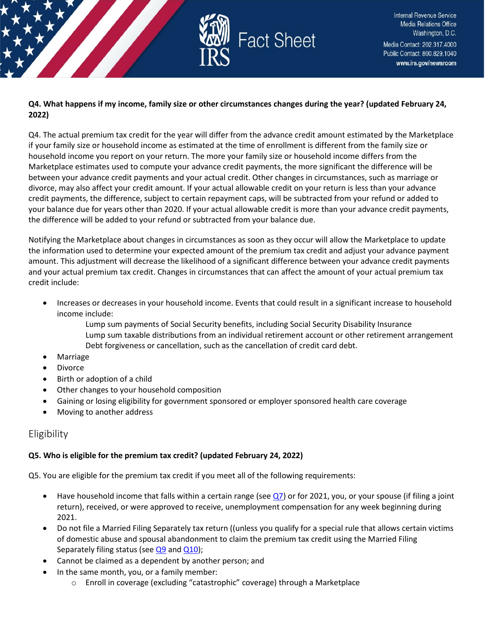

### **Q4. What happens if my income, family size or other circumstances changes during the year? (updated February 24, 2022)**

Q4. The actual premium tax credit for the year will differ from the advance credit amount estimated by the Marketplace if your family size or household income as estimated at the time of enrollment is different from the family size or household income you report on your return. The more your family size or household income differs from the Marketplace estimates used to compute your advance credit payments, the more significant the difference will be between your advance credit payments and your actual credit. Other changes in circumstances, such as marriage or divorce, may also affect your credit amount. If your actual allowable credit on your return is less than your advance credit payments, the difference, subject to certain repayment caps, will be subtracted from your refund or added to your balance due for years other than 2020. If your actual allowable credit is more than your advance credit payments, the difference will be added to your refund or subtracted from your balance due.

Notifying the Marketplace about changes in circumstances as soon as they occur will allow the Marketplace to update the information used to determine your expected amount of the premium tax credit and adjust your advance payment amount. This adjustment will decrease the likelihood of a significant difference between your advance credit payments and your actual premium tax credit. Changes in circumstances that can affect the amount of your actual premium tax credit include:

- Increases or decreases in your household income. Events that could result in a significant increase to household income include:
	- Lump sum payments of Social Security benefits, including Social Security Disability Insurance Lump sum taxable distributions from an individual retirement account or other retirement arrangement Debt forgiveness or cancellation, such as the cancellation of credit card debt.
- Marriage
- Divorce
- Birth or adoption of a child
- Other changes to your household composition
- Gaining or losing eligibility for government sponsored or employer sponsored health care coverage
- Moving to another address

## <span id="page-2-0"></span>Eligibility

### **Q5. Who is eligible for the premium tax credit? (updated February 24, 2022)**

Q5. You are eligible for the premium tax credit if you meet all of the following requirements:

- Have household income that falls within a certain range (se[e Q7\)](https://www.irs.gov/affordable-care-act/individuals-and-families/questions-and-answers-on-the-premium-tax-credit#collapseCollapsible1621274755260) or for 2021, you, or your spouse (if filing a joint return), received, or were approved to receive, unemployment compensation for any week beginning during 2021.
- Do not file a Married Filing Separately tax return ((unless you qualify for a special rule that allows certain victims of domestic abuse and spousal abandonment to claim the premium tax credit using the Married Filing Separately filing status (see  $Q9$  and  $Q10$ );
- Cannot be claimed as a dependent by another person; and
- In the same month, you, or a family member:
	- o Enroll in coverage (excluding "catastrophic" coverage) through a Marketplace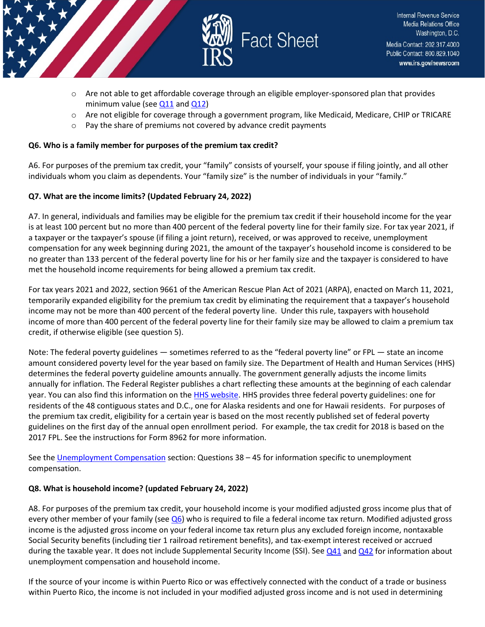



- $\circ$  Are not able to get affordable coverage through an eligible employer-sponsored plan that provides minimum value (see  $Q11$  and  $Q12$ )
- $\circ$  Are not eligible for coverage through a government program, like Medicaid, Medicare, CHIP or TRICARE
- o Pay the share of premiums not covered by advance credit payments

### **Q6. Who is a family member for purposes of the premium tax credit?**

A6. For purposes of the premium tax credit, your "family" consists of yourself, your spouse if filing jointly, and all other individuals whom you claim as dependents. Your "family size" is the number of individuals in your "family."

## **Q7. What are the income limits? (Updated February 24, 2022)**

A7. In general, individuals and families may be eligible for the premium tax credit if their household income for the year is at least 100 percent but no more than 400 percent of the federal poverty line for their family size. For tax year 2021, if a taxpayer or the taxpayer's spouse (if filing a joint return), received, or was approved to receive, unemployment compensation for any week beginning during 2021, the amount of the taxpayer's household income is considered to be no greater than 133 percent of the federal poverty line for his or her family size and the taxpayer is considered to have met the household income requirements for being allowed a premium tax credit.

For tax years 2021 and 2022, section 9661 of the American Rescue Plan Act of 2021 (ARPA), enacted on March 11, 2021, temporarily expanded eligibility for the premium tax credit by eliminating the requirement that a taxpayer's household income may not be more than 400 percent of the federal poverty line. Under this rule, taxpayers with household income of more than 400 percent of the federal poverty line for their family size may be allowed to claim a premium tax credit, if otherwise eligible (see question 5).

Note: The federal poverty guidelines — sometimes referred to as the "federal poverty line" or FPL — state an income amount considered poverty level for the year based on family size. The Department of Health and Human Services (HHS) determines the federal poverty guideline amounts annually. The government generally adjusts the income limits annually for inflation. The Federal Register publishes a chart reflecting these amounts at the beginning of each calendar year. You can also find this information on th[e HHS website.](https://www.hhs.gov/) HHS provides three federal poverty guidelines: one for residents of the 48 contiguous states and D.C., one for Alaska residents and one for Hawaii residents. For purposes of the premium tax credit, eligibility for a certain year is based on the most recently published set of federal poverty guidelines on the first day of the annual open enrollment period. For example, the tax credit for 2018 is based on the 2017 FPL. See the instructions for Form 8962 for more information.

See the [Unemployment Compensation](https://www.irs.gov/node/15902/latest?auHash=Y-60BaVAnj7s2KsLG3DED9MXHda23-CaHNEVWEsmvcc#unemploymentcomp) section: Questions 38 – 45 for information specific to unemployment compensation.

## **Q8. What is household income? (updated February 24, 2022)**

A8. For purposes of the premium tax credit, your household income is your modified adjusted gross income plus that of every other member of your family (se[e Q6\)](https://www.irs.gov/affordable-care-act/individuals-and-families/questions-and-answers-on-the-premium-tax-credit#collapseCollapsible1621274755261) who is required to file a federal income tax return. Modified adjusted gross income is the adjusted gross income on your federal income tax return plus any excluded foreign income, nontaxable Social Security benefits (including tier 1 railroad retirement benefits), and tax-exempt interest received or accrued during the taxable year. It does not include Supplemental Security Income (SSI). See  $Q41$  and  $Q42$  for information about unemployment compensation and household income.

If the source of your income is within Puerto Rico or was effectively connected with the conduct of a trade or business within Puerto Rico, the income is not included in your modified adjusted gross income and is not used in determining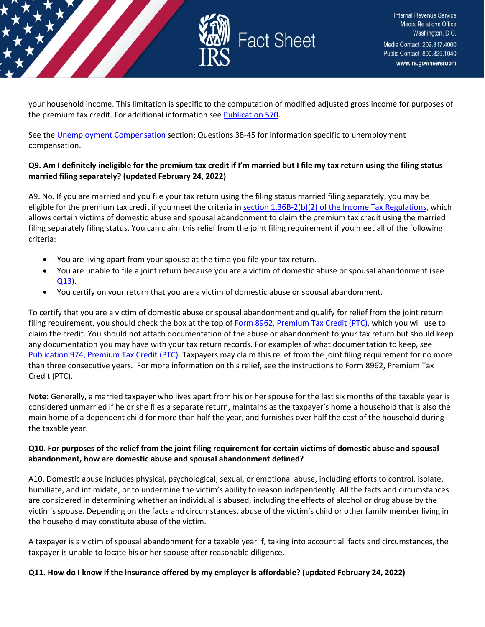

your household income. This limitation is specific to the computation of modified adjusted gross income for purposes of the premium tax credit. For additional information see [Publication 570.](https://www.irs.gov/forms-pubs/about-publication-570)

See the [Unemployment Compensation](https://www.irs.gov/node/15902/latest?auHash=Y-60BaVAnj7s2KsLG3DED9MXHda23-CaHNEVWEsmvcc#unemploymentcomp) section: Questions 38-45 for information specific to unemployment compensation.

### **Q9. Am I definitely ineligible for the premium tax credit if I'm married but I file my tax return using the filing status married filing separately? (updated February 24, 2022)**

A9. No. If you are married and you file your tax return using the filing status married filing separately, you may be eligible for the premium tax credit if you meet the criteria in [section 1.36B-2\(b\)\(2\) of the Income Tax Regulations,](https://www.federalregister.gov/articles/2014/07/28/2014-17695/rules-regarding-the-health-insurance-premium-tax-credit) which allows certain victims of domestic abuse and spousal abandonment to claim the premium tax credit using the married filing separately filing status. You can claim this relief from the joint filing requirement if you meet all of the following criteria:

- You are living apart from your spouse at the time you file your tax return.
- You are unable to file a joint return because you are a victim of domestic abuse or spousal abandonment (see [Q13\)](https://www.irs.gov/affordable-care-act/individuals-and-families/questions-and-answers-on-the-premium-tax-credit#collapseCollapsible1621274755247).
- You certify on your return that you are a victim of domestic abuse or spousal abandonment.

To certify that you are a victim of domestic abuse or spousal abandonment and qualify for relief from the joint return filing requirement, you should check the box at the top of [Form 8962, Premium Tax Credit \(PTC\),](https://www.irs.gov/forms-pubs/about-form-8962) which you will use to claim the credit. You should not attach documentation of the abuse or abandonment to your tax return but should keep any documentation you may have with your tax return records. For examples of what documentation to keep, see [Publication 974, Premium Tax Credit \(PTC\).](https://www.irs.gov/forms-pubs/about-publication-974) Taxpayers may claim this relief from the joint filing requirement for no more than three consecutive years. For more information on this relief, see the instructions to Form 8962, Premium Tax Credit (PTC).

**Note**: Generally, a married taxpayer who lives apart from his or her spouse for the last six months of the taxable year is considered unmarried if he or she files a separate return, maintains as the taxpayer's home a household that is also the main home of a dependent child for more than half the year, and furnishes over half the cost of the household during the taxable year.

### **Q10. For purposes of the relief from the joint filing requirement for certain victims of domestic abuse and spousal abandonment, how are domestic abuse and spousal abandonment defined?**

A10. Domestic abuse includes physical, psychological, sexual, or emotional abuse, including efforts to control, isolate, humiliate, and intimidate, or to undermine the victim's ability to reason independently. All the facts and circumstances are considered in determining whether an individual is abused, including the effects of alcohol or drug abuse by the victim's spouse. Depending on the facts and circumstances, abuse of the victim's child or other family member living in the household may constitute abuse of the victim.

A taxpayer is a victim of spousal abandonment for a taxable year if, taking into account all facts and circumstances, the taxpayer is unable to locate his or her spouse after reasonable diligence.

### **Q11. How do I know if the insurance offered by my employer is affordable? (updated February 24, 2022)**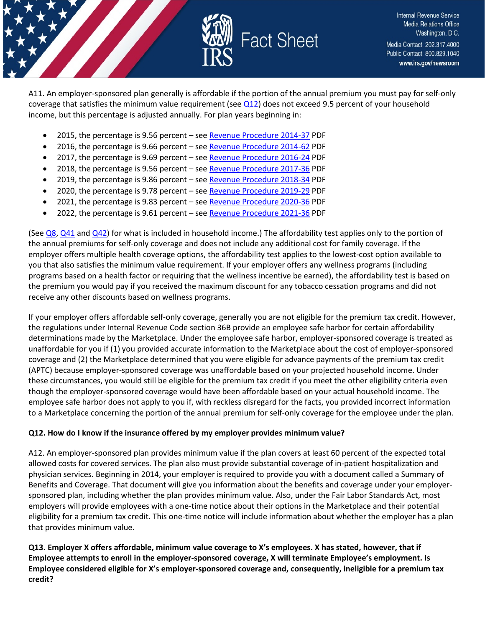

A11. An employer-sponsored plan generally is affordable if the portion of the annual premium you must pay for self-only coverage that satisfies the minimum value requirement (see  $Q12$ ) does not exceed 9.5 percent of your household income, but this percentage is adjusted annually. For plan years beginning in:

- 2015, the percentage is 9.56 percent see [Revenue Procedure 2014-37](https://www.irs.gov/pub/irs-drop/rp-14-37.pdf) PDF
- 2016, the percentage is 9.66 percent see [Revenue Procedure 2014-62](https://www.irs.gov/pub/irs-drop/rp-14-62.pdf) PDF
- 2017, the percentage is 9.69 percent see [Revenue Procedure 2016-24](https://www.irs.gov/pub/irs-drop/rp-16-24.pdf) PDF
- 2018, the percentage is 9.56 percent see [Revenue Procedure 2017-36](https://www.irs.gov/pub/irs-drop/rp-17-36.pdf) PDF
- 2019, the percentage is 9.86 percent see [Revenue Procedure 2018-34](https://www.irs.gov/pub/irs-drop/rp-18-34.pdf) PDF
- 2020, the percentage is 9.78 percent see [Revenue Procedure 2019-29](https://www.irs.gov/pub/irs-drop/rp-19-29.pdf) PDF
- 2021, the percentage is 9.83 percent see [Revenue Procedure 2020-36](https://www.irs.gov/pub/irs-drop/rp-20-36.pdf) PDF
- 2022, the percentage is 9.61 percent see [Revenue Procedure 2021-36](https://www.irs.gov/irb/2021-36_IRB) PDF

(See  $Q_8$ ,  $Q_41$  and  $Q_42$ ) for what is included in household income.) The affordability test applies only to the portion of the annual premiums for self-only coverage and does not include any additional cost for family coverage. If the employer offers multiple health coverage options, the affordability test applies to the lowest-cost option available to you that also satisfies the minimum value requirement. If your employer offers any wellness programs (including programs based on a health factor or requiring that the wellness incentive be earned), the affordability test is based on the premium you would pay if you received the maximum discount for any tobacco cessation programs and did not receive any other discounts based on wellness programs.

If your employer offers affordable self-only coverage, generally you are not eligible for the premium tax credit. However, the regulations under Internal Revenue Code section 36B provide an employee safe harbor for certain affordability determinations made by the Marketplace. Under the employee safe harbor, employer-sponsored coverage is treated as unaffordable for you if (1) you provided accurate information to the Marketplace about the cost of employer-sponsored coverage and (2) the Marketplace determined that you were eligible for advance payments of the premium tax credit (APTC) because employer-sponsored coverage was unaffordable based on your projected household income. Under these circumstances, you would still be eligible for the premium tax credit if you meet the other eligibility criteria even though the employer-sponsored coverage would have been affordable based on your actual household income. The employee safe harbor does not apply to you if, with reckless disregard for the facts, you provided incorrect information to a Marketplace concerning the portion of the annual premium for self-only coverage for the employee under the plan.

#### **Q12. How do I know if the insurance offered by my employer provides minimum value?**

A12. An employer-sponsored plan provides minimum value if the plan covers at least 60 percent of the expected total allowed costs for covered services. The plan also must provide substantial coverage of in-patient hospitalization and physician services. Beginning in 2014, your employer is required to provide you with a document called a Summary of Benefits and Coverage. That document will give you information about the benefits and coverage under your employersponsored plan, including whether the plan provides minimum value. Also, under the Fair Labor Standards Act, most employers will provide employees with a one-time notice about their options in the Marketplace and their potential eligibility for a premium tax credit. This one-time notice will include information about whether the employer has a plan that provides minimum value.

**Q13. Employer X offers affordable, minimum value coverage to X's employees. X has stated, however, that if Employee attempts to enroll in the employer-sponsored coverage, X will terminate Employee's employment. Is Employee considered eligible for X's employer-sponsored coverage and, consequently, ineligible for a premium tax credit?**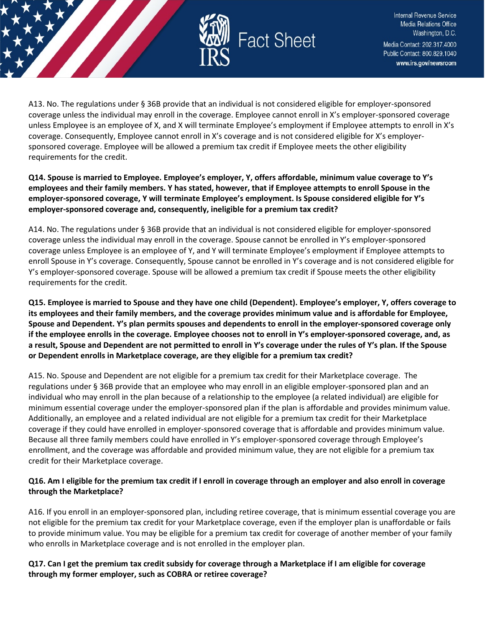

A13. No. The regulations under § 36B provide that an individual is not considered eligible for employer-sponsored coverage unless the individual may enroll in the coverage. Employee cannot enroll in X's employer-sponsored coverage unless Employee is an employee of X, and X will terminate Employee's employment if Employee attempts to enroll in X's coverage. Consequently, Employee cannot enroll in X's coverage and is not considered eligible for X's employersponsored coverage. Employee will be allowed a premium tax credit if Employee meets the other eligibility requirements for the credit.

**Q14. Spouse is married to Employee. Employee's employer, Y, offers affordable, minimum value coverage to Y's employees and their family members. Y has stated, however, that if Employee attempts to enroll Spouse in the employer-sponsored coverage, Y will terminate Employee's employment. Is Spouse considered eligible for Y's employer-sponsored coverage and, consequently, ineligible for a premium tax credit?**

A14. No. The regulations under § 36B provide that an individual is not considered eligible for employer-sponsored coverage unless the individual may enroll in the coverage. Spouse cannot be enrolled in Y's employer-sponsored coverage unless Employee is an employee of Y, and Y will terminate Employee's employment if Employee attempts to enroll Spouse in Y's coverage. Consequently, Spouse cannot be enrolled in Y's coverage and is not considered eligible for Y's employer-sponsored coverage. Spouse will be allowed a premium tax credit if Spouse meets the other eligibility requirements for the credit.

**Q15. Employee is married to Spouse and they have one child (Dependent). Employee's employer, Y, offers coverage to its employees and their family members, and the coverage provides minimum value and is affordable for Employee, Spouse and Dependent. Y's plan permits spouses and dependents to enroll in the employer-sponsored coverage only if the employee enrolls in the coverage. Employee chooses not to enroll in Y's employer-sponsored coverage, and, as a result, Spouse and Dependent are not permitted to enroll in Y's coverage under the rules of Y's plan. If the Spouse or Dependent enrolls in Marketplace coverage, are they eligible for a premium tax credit?**

A15. No. Spouse and Dependent are not eligible for a premium tax credit for their Marketplace coverage. The regulations under § 36B provide that an employee who may enroll in an eligible employer-sponsored plan and an individual who may enroll in the plan because of a relationship to the employee (a related individual) are eligible for minimum essential coverage under the employer-sponsored plan if the plan is affordable and provides minimum value. Additionally, an employee and a related individual are not eligible for a premium tax credit for their Marketplace coverage if they could have enrolled in employer-sponsored coverage that is affordable and provides minimum value. Because all three family members could have enrolled in Y's employer-sponsored coverage through Employee's enrollment, and the coverage was affordable and provided minimum value, they are not eligible for a premium tax credit for their Marketplace coverage.

### **Q16. Am I eligible for the premium tax credit if I enroll in coverage through an employer and also enroll in coverage through the Marketplace?**

A16. If you enroll in an employer-sponsored plan, including retiree coverage, that is minimum essential coverage you are not eligible for the premium tax credit for your Marketplace coverage, even if the employer plan is unaffordable or fails to provide minimum value. You may be eligible for a premium tax credit for coverage of another member of your family who enrolls in Marketplace coverage and is not enrolled in the employer plan.

### **Q17. Can I get the premium tax credit subsidy for coverage through a Marketplace if I am eligible for coverage through my former employer, such as COBRA or retiree coverage?**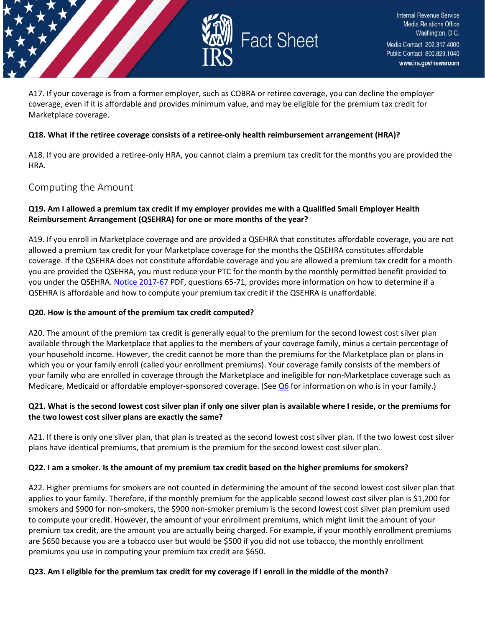

A17. If your coverage is from a former employer, such as COBRA or retiree coverage, you can decline the employer coverage, even if it is affordable and provides minimum value, and may be eligible for the premium tax credit for Marketplace coverage.

### **Q18. What if the retiree coverage consists of a retiree-only health reimbursement arrangement (HRA)?**

A18. If you are provided a retiree-only HRA, you cannot claim a premium tax credit for the months you are provided the HRA.

## <span id="page-7-0"></span>Computing the Amount

### **Q19. Am I allowed a premium tax credit if my employer provides me with a Qualified Small Employer Health Reimbursement Arrangement (QSEHRA) for one or more months of the year?**

A19. If you enroll in Marketplace coverage and are provided a QSEHRA that constitutes affordable coverage, you are not allowed a premium tax credit for your Marketplace coverage for the months the QSEHRA constitutes affordable coverage. If the QSEHRA does not constitute affordable coverage and you are allowed a premium tax credit for a month you are provided the QSEHRA, you must reduce your PTC for the month by the monthly permitted benefit provided to you under the QSEHRA. [Notice 2017-67](https://www.irs.gov/pub/irs-drop/n-17-67.pdf) PDF, questions 65-71, provides more information on how to determine if a QSEHRA is affordable and how to compute your premium tax credit if the QSEHRA is unaffordable.

#### **Q20. How is the amount of the premium tax credit computed?**

A20. The amount of the premium tax credit is generally equal to the premium for the second lowest cost silver plan available through the Marketplace that applies to the members of your coverage family, minus a certain percentage of your household income. However, the credit cannot be more than the premiums for the Marketplace plan or plans in which you or your family enroll (called your enrollment premiums). Your coverage family consists of the members of your family who are enrolled in coverage through the Marketplace and ineligible for non-Marketplace coverage such as Medicare, Medicaid or affordable employer-sponsored coverage. (Se[e Q6](https://www.irs.gov/affordable-care-act/individuals-and-families/questions-and-answers-on-the-premium-tax-credit#collapseCollapsible1621274755261) for information on who is in your family.)

### **Q21. What is the second lowest cost silver plan if only one silver plan is available where I reside, or the premiums for the two lowest cost silver plans are exactly the same?**

A21. If there is only one silver plan, that plan is treated as the second lowest cost silver plan. If the two lowest cost silver plans have identical premiums, that premium is the premium for the second lowest cost silver plan.

#### **Q22. I am a smoker. Is the amount of my premium tax credit based on the higher premiums for smokers?**

A22. Higher premiums for smokers are not counted in determining the amount of the second lowest cost silver plan that applies to your family. Therefore, if the monthly premium for the applicable second lowest cost silver plan is \$1,200 for smokers and \$900 for non-smokers, the \$900 non-smoker premium is the second lowest cost silver plan premium used to compute your credit. However, the amount of your enrollment premiums, which might limit the amount of your premium tax credit, are the amount you are actually being charged. For example, if your monthly enrollment premiums are \$650 because you are a tobacco user but would be \$500 if you did not use tobacco, the monthly enrollment premiums you use in computing your premium tax credit are \$650.

#### **Q23. Am I eligible for the premium tax credit for my coverage if I enroll in the middle of the month?**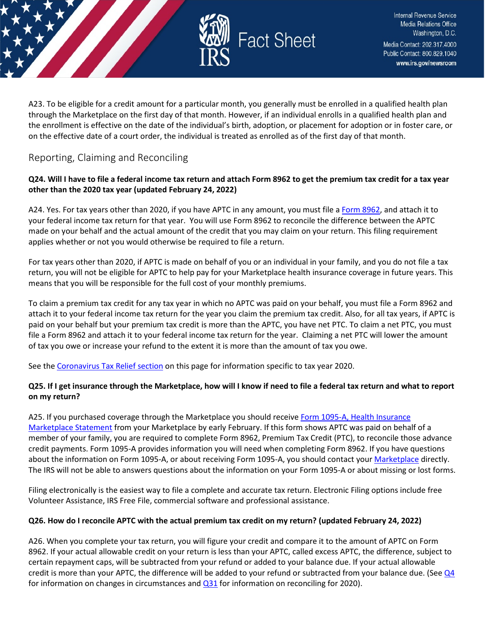

A23. To be eligible for a credit amount for a particular month, you generally must be enrolled in a qualified health plan through the Marketplace on the first day of that month. However, if an individual enrolls in a qualified health plan and the enrollment is effective on the date of the individual's birth, adoption, or placement for adoption or in foster care, or on the effective date of a court order, the individual is treated as enrolled as of the first day of that month.

## <span id="page-8-0"></span>Reporting, Claiming and Reconciling

### **Q24. Will I have to file a federal income tax return and attach Form 8962 to get the premium tax credit for a tax year other than the 2020 tax year (updated February 24, 2022)**

A24. Yes. For tax years other than 2020, if you have APTC in any amount, you must file [a Form 8962,](https://www.irs.gov/forms-pubs/about-form-8962) and attach it to your federal income tax return for that year. You will use Form 8962 to reconcile the difference between the APTC made on your behalf and the actual amount of the credit that you may claim on your return. This filing requirement applies whether or not you would otherwise be required to file a return.

For tax years other than 2020, if APTC is made on behalf of you or an individual in your family, and you do not file a tax return, you will not be eligible for APTC to help pay for your Marketplace health insurance coverage in future years. This means that you will be responsible for the full cost of your monthly premiums.

To claim a premium tax credit for any tax year in which no APTC was paid on your behalf, you must file a Form 8962 and attach it to your federal income tax return for the year you claim the premium tax credit. Also, for all tax years, if APTC is paid on your behalf but your premium tax credit is more than the APTC, you have net PTC. To claim a net PTC, you must file a Form 8962 and attach it to your federal income tax return for the year. Claiming a net PTC will lower the amount of tax you owe or increase your refund to the extent it is more than the amount of tax you owe.

See the [Coronavirus Tax Relief section](https://www.irs.gov/affordable-care-act/individuals-and-families/questions-and-answers-on-the-premium-tax-credit#suspension) on this page for information specific to tax year 2020.

## **Q25. If I get insurance through the Marketplace, how will I know if need to file a federal tax return and what to report on my return?**

A25. If you purchased coverage through the Marketplace you should receive Form 1095-A, Health Insurance [Marketplace Statement](https://www.irs.gov/forms-pubs/about-form-1095-a) from your Marketplace by early February. If this form shows APTC was paid on behalf of a member of your family, you are required to complete Form 8962, Premium Tax Credit (PTC), to reconcile those advance credit payments. Form 1095-A provides information you will need when completing Form 8962. If you have questions about the information on Form 1095-A, or about receiving Form 1095-A, you should contact you[r Marketplace](https://www.irs.gov/affordable-care-act/individuals-and-families/the-health-insurance-marketplace) directly. The IRS will not be able to answers questions about the information on your Form 1095-A or about missing or lost forms.

Filing electronically is the easiest way to file a complete and accurate tax return. Electronic Filing options include free Volunteer Assistance, IRS Free File, commercial software and professional assistance.

## **Q26. How do I reconcile APTC with the actual premium tax credit on my return? (updated February 24, 2022)**

A26. When you complete your tax return, you will figure your credit and compare it to the amount of APTC on Form 8962. If your actual allowable credit on your return is less than your APTC, called excess APTC, the difference, subject to certain repayment caps, will be subtracted from your refund or added to your balance due. If your actual allowable credit is more than your APTC, the difference will be added to your refund or subtracted from your balance due. (See  $Q_4$ for information on changes in circumstances and  $Q31$  for information on reconciling for 2020).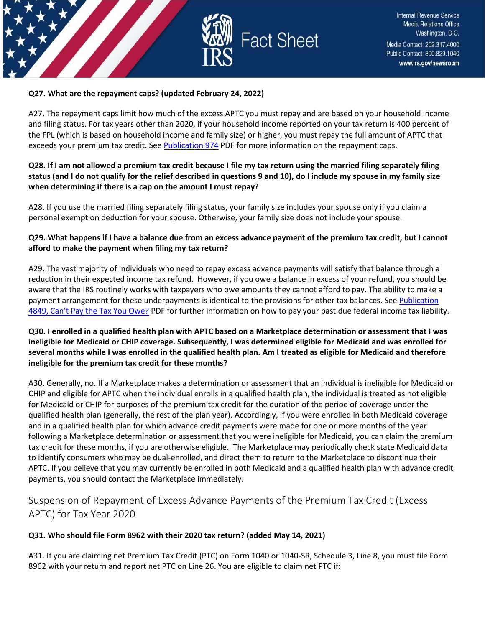

### **Q27. What are the repayment caps? (updated February 24, 2022)**

A27. The repayment caps limit how much of the excess APTC you must repay and are based on your household income and filing status. For tax years other than 2020, if your household income reported on your tax return is 400 percent of the FPL (which is based on household income and family size) or higher, you must repay the full amount of APTC that exceeds your premium tax credit. Se[e Publication 974](https://www.irs.gov/forms-pubs/about-publication-974) PDF for more information on the repayment caps.

### **Q28. If I am not allowed a premium tax credit because I file my tax return using the married filing separately filing status (and I do not qualify for the relief described in questions 9 and 10), do I include my spouse in my family size when determining if there is a cap on the amount I must repay?**

A28. If you use the married filing separately filing status, your family size includes your spouse only if you claim a personal exemption deduction for your spouse. Otherwise, your family size does not include your spouse.

### **Q29. What happens if I have a balance due from an excess advance payment of the premium tax credit, but I cannot afford to make the payment when filing my tax return?**

A29. The vast majority of individuals who need to repay excess advance payments will satisfy that balance through a reduction in their expected income tax refund. However, if you owe a balance in excess of your refund, you should be aware that the IRS routinely works with taxpayers who owe amounts they cannot afford to pay. The ability to make a payment arrangement for these underpayments is identical to the provisions for other tax balances. See Publication [4849, Can't Pay the Tax You Owe?](https://www.irs.gov/pub/irs-pdf/p4849.pdf) PDF for further information on how to pay your past due federal income tax liability.

### **Q30. I enrolled in a qualified health plan with APTC based on a Marketplace determination or assessment that I was ineligible for Medicaid or CHIP coverage. Subsequently, I was determined eligible for Medicaid and was enrolled for several months while I was enrolled in the qualified health plan. Am I treated as eligible for Medicaid and therefore ineligible for the premium tax credit for these months?**

A30. Generally, no. If a Marketplace makes a determination or assessment that an individual is ineligible for Medicaid or CHIP and eligible for APTC when the individual enrolls in a qualified health plan, the individual is treated as not eligible for Medicaid or CHIP for purposes of the premium tax credit for the duration of the period of coverage under the qualified health plan (generally, the rest of the plan year). Accordingly, if you were enrolled in both Medicaid coverage and in a qualified health plan for which advance credit payments were made for one or more months of the year following a Marketplace determination or assessment that you were ineligible for Medicaid, you can claim the premium tax credit for these months, if you are otherwise eligible. The Marketplace may periodically check state Medicaid data to identify consumers who may be dual-enrolled, and direct them to return to the Marketplace to discontinue their APTC. If you believe that you may currently be enrolled in both Medicaid and a qualified health plan with advance credit payments, you should contact the Marketplace immediately.

## <span id="page-9-0"></span>Suspension of Repayment of Excess Advance Payments of the Premium Tax Credit (Excess APTC) for Tax Year 2020

### **Q31. Who should file Form 8962 with their 2020 tax return? (added May 14, 2021)**

A31. If you are claiming net Premium Tax Credit (PTC) on Form 1040 or 1040-SR, Schedule 3, Line 8, you must file Form 8962 with your return and report net PTC on Line 26. You are eligible to claim net PTC if: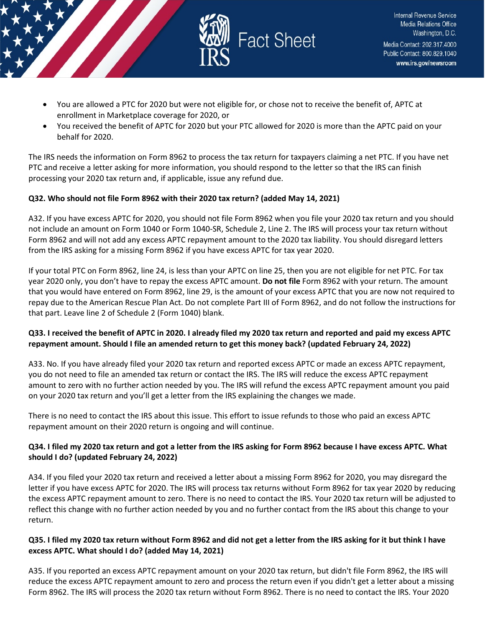

- You are allowed a PTC for 2020 but were not eligible for, or chose not to receive the benefit of, APTC at enrollment in Marketplace coverage for 2020, or
- You received the benefit of APTC for 2020 but your PTC allowed for 2020 is more than the APTC paid on your behalf for 2020.

The IRS needs the information on Form 8962 to process the tax return for taxpayers claiming a net PTC. If you have net PTC and receive a letter asking for more information, you should respond to the letter so that the IRS can finish processing your 2020 tax return and, if applicable, issue any refund due.

### **Q32. Who should not file Form 8962 with their 2020 tax return? (added May 14, 2021)**

A32. If you have excess APTC for 2020, you should not file Form 8962 when you file your 2020 tax return and you should not include an amount on Form 1040 or Form 1040-SR, Schedule 2, Line 2. The IRS will process your tax return without Form 8962 and will not add any excess APTC repayment amount to the 2020 tax liability. You should disregard letters from the IRS asking for a missing Form 8962 if you have excess APTC for tax year 2020.

If your total PTC on Form 8962, line 24, is less than your APTC on line 25, then you are not eligible for net PTC. For tax year 2020 only, you don't have to repay the excess APTC amount. **Do not file** Form 8962 with your return. The amount that you would have entered on Form 8962, line 29, is the amount of your excess APTC that you are now not required to repay due to the American Rescue Plan Act. Do not complete Part III of Form 8962, and do not follow the instructions for that part. Leave line 2 of Schedule 2 (Form 1040) blank.

### **Q33. I received the benefit of APTC in 2020. I already filed my 2020 tax return and reported and paid my excess APTC repayment amount. Should I file an amended return to get this money back? (updated February 24, 2022)**

A33. No. If you have already filed your 2020 tax return and reported excess APTC or made an excess APTC repayment, you do not need to file an amended tax return or contact the IRS. The IRS will reduce the excess APTC repayment amount to zero with no further action needed by you. The IRS will refund the excess APTC repayment amount you paid on your 2020 tax return and you'll get a letter from the IRS explaining the changes we made.

There is no need to contact the IRS about this issue. This effort to issue refunds to those who paid an excess APTC repayment amount on their 2020 return is ongoing and will continue.

### **Q34. I filed my 2020 tax return and got a letter from the IRS asking for Form 8962 because I have excess APTC. What should I do? (updated February 24, 2022)**

A34. If you filed your 2020 tax return and received a letter about a missing Form 8962 for 2020, you may disregard the letter if you have excess APTC for 2020. The IRS will process tax returns without Form 8962 for tax year 2020 by reducing the excess APTC repayment amount to zero. There is no need to contact the IRS. Your 2020 tax return will be adjusted to reflect this change with no further action needed by you and no further contact from the IRS about this change to your return.

### **Q35. I filed my 2020 tax return without Form 8962 and did not get a letter from the IRS asking for it but think I have excess APTC. What should I do? (added May 14, 2021)**

A35. If you reported an excess APTC repayment amount on your 2020 tax return, but didn't file Form 8962, the IRS will reduce the excess APTC repayment amount to zero and process the return even if you didn't get a letter about a missing Form 8962. The IRS will process the 2020 tax return without Form 8962. There is no need to contact the IRS. Your 2020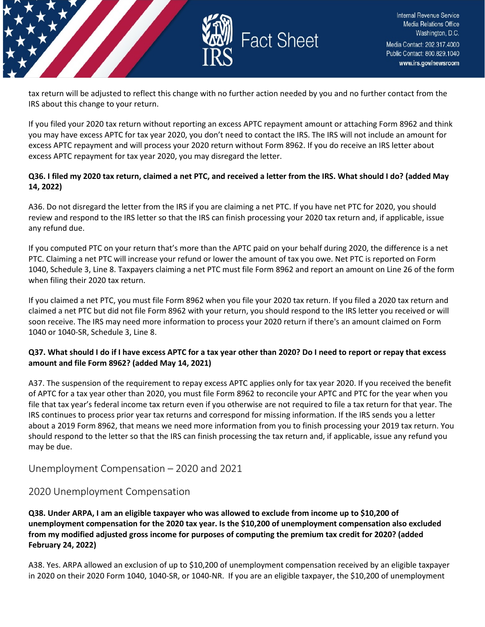

tax return will be adjusted to reflect this change with no further action needed by you and no further contact from the IRS about this change to your return.

If you filed your 2020 tax return without reporting an excess APTC repayment amount or attaching Form 8962 and think you may have excess APTC for tax year 2020, you don't need to contact the IRS. The IRS will not include an amount for excess APTC repayment and will process your 2020 return without Form 8962. If you do receive an IRS letter about excess APTC repayment for tax year 2020, you may disregard the letter.

### **Q36. I filed my 2020 tax return, claimed a net PTC, and received a letter from the IRS. What should I do? (added May 14, 2022)**

A36. Do not disregard the letter from the IRS if you are claiming a net PTC. If you have net PTC for 2020, you should review and respond to the IRS letter so that the IRS can finish processing your 2020 tax return and, if applicable, issue any refund due.

If you computed PTC on your return that's more than the APTC paid on your behalf during 2020, the difference is a net PTC. Claiming a net PTC will increase your refund or lower the amount of tax you owe. Net PTC is reported on Form 1040, Schedule 3, Line 8. Taxpayers claiming a net PTC must file Form 8962 and report an amount on Line 26 of the form when filing their 2020 tax return.

If you claimed a net PTC, you must file Form 8962 when you file your 2020 tax return. If you filed a 2020 tax return and claimed a net PTC but did not file Form 8962 with your return, you should respond to the IRS letter you received or will soon receive. The IRS may need more information to process your 2020 return if there's an amount claimed on Form 1040 or 1040-SR, Schedule 3, Line 8.

### **Q37. What should I do if I have excess APTC for a tax year other than 2020? Do I need to report or repay that excess amount and file Form 8962? (added May 14, 2021)**

A37. The suspension of the requirement to repay excess APTC applies only for tax year 2020. If you received the benefit of APTC for a tax year other than 2020, you must file Form 8962 to reconcile your APTC and PTC for the year when you file that tax year's federal income tax return even if you otherwise are not required to file a tax return for that year. The IRS continues to process prior year tax returns and correspond for missing information. If the IRS sends you a letter about a 2019 Form 8962, that means we need more information from you to finish processing your 2019 tax return. You should respond to the letter so that the IRS can finish processing the tax return and, if applicable, issue any refund you may be due.

<span id="page-11-0"></span>Unemployment Compensation – 2020 and 2021

## 2020 Unemployment Compensation

**Q38. Under ARPA, I am an eligible taxpayer who was allowed to exclude from income up to \$10,200 of unemployment compensation for the 2020 tax year. Is the \$10,200 of unemployment compensation also excluded from my modified adjusted gross income for purposes of computing the premium tax credit for 2020? (added February 24, 2022)**

A38. Yes. ARPA allowed an exclusion of up to \$10,200 of unemployment compensation received by an eligible taxpayer in 2020 on their 2020 Form 1040, 1040-SR, or 1040-NR. If you are an eligible taxpayer, the \$10,200 of unemployment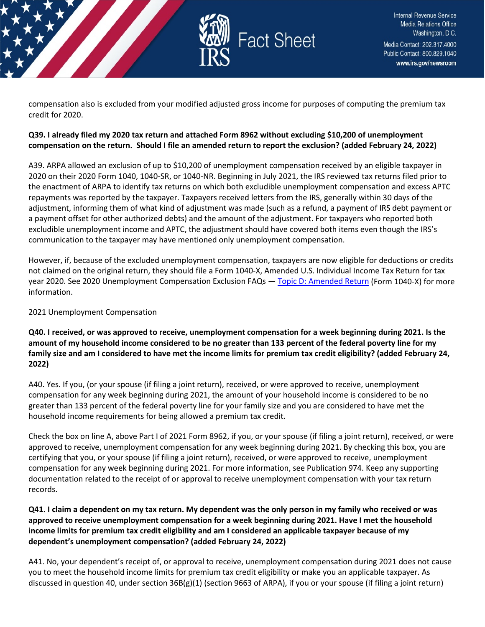

compensation also is excluded from your modified adjusted gross income for purposes of computing the premium tax credit for 2020.

### **Q39. I already filed my 2020 tax return and attached Form 8962 without excluding \$10,200 of unemployment compensation on the return. Should I file an amended return to report the exclusion? (added February 24, 2022)**

A39. ARPA allowed an exclusion of up to \$10,200 of unemployment compensation received by an eligible taxpayer in 2020 on their 2020 Form 1040, 1040-SR, or 1040-NR. Beginning in July 2021, the IRS reviewed tax returns filed prior to the enactment of ARPA to identify tax returns on which both excludible unemployment compensation and excess APTC repayments was reported by the taxpayer. Taxpayers received letters from the IRS, generally within 30 days of the adjustment, informing them of what kind of adjustment was made (such as a refund, a payment of IRS debt payment or a payment offset for other authorized debts) and the amount of the adjustment. For taxpayers who reported both excludible unemployment income and APTC, the adjustment should have covered both items even though the IRS's communication to the taxpayer may have mentioned only unemployment compensation.

However, if, because of the excluded unemployment compensation, taxpayers are now eligible for deductions or credits not claimed on the original return, they should file a Form 1040-X, Amended U.S. Individual Income Tax Return for tax year 2020. See 2020 Unemployment Compensation Exclusion FAQs — [Topic D: Amended Return](https://www.irs.gov/newsroom/2020-unemployment-compensation-exclusion-faqs-topic-d-amended-return-form-1040-x) (Form 1040-X) for more information.

2021 Unemployment Compensation

**Q40. I received, or was approved to receive, unemployment compensation for a week beginning during 2021. Is the amount of my household income considered to be no greater than 133 percent of the federal poverty line for my family size and am I considered to have met the income limits for premium tax credit eligibility? (added February 24, 2022)**

A40. Yes. If you, (or your spouse (if filing a joint return), received, or were approved to receive, unemployment compensation for any week beginning during 2021, the amount of your household income is considered to be no greater than 133 percent of the federal poverty line for your family size and you are considered to have met the household income requirements for being allowed a premium tax credit.

Check the box on line A, above Part I of 2021 Form 8962, if you, or your spouse (if filing a joint return), received, or were approved to receive, unemployment compensation for any week beginning during 2021. By checking this box, you are certifying that you, or your spouse (if filing a joint return), received, or were approved to receive, unemployment compensation for any week beginning during 2021. For more information, see Publication 974. Keep any supporting documentation related to the receipt of or approval to receive unemployment compensation with your tax return records.

### **Q41. I claim a dependent on my tax return. My dependent was the only person in my family who received or was approved to receive unemployment compensation for a week beginning during 2021. Have I met the household income limits for premium tax credit eligibility and am I considered an applicable taxpayer because of my dependent's unemployment compensation? (added February 24, 2022)**

A41. No, your dependent's receipt of, or approval to receive, unemployment compensation during 2021 does not cause you to meet the household income limits for premium tax credit eligibility or make you an applicable taxpayer. As discussed in question 40, under section  $36B(g)(1)$  (section 9663 of ARPA), if you or your spouse (if filing a joint return)